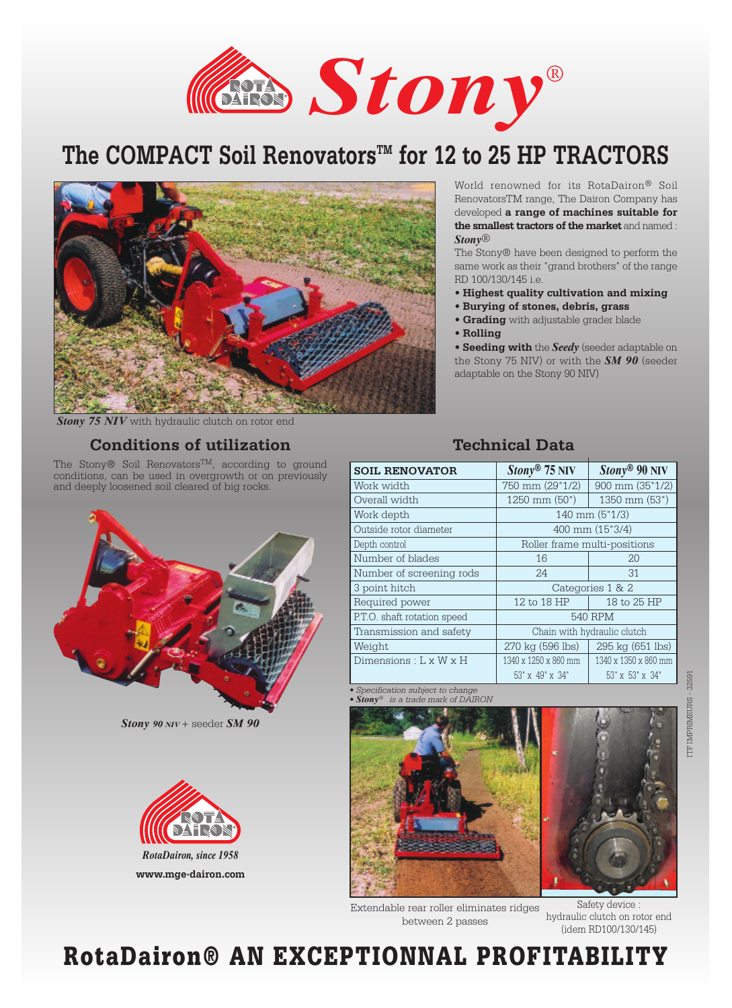*Stony*®

# The COMPACT Soil Renovators<sup>™</sup> for 12 to 25 HP TRACTORS



World renowned for its RotaDairon® Soil RenovatorsTM range, The Dairon Company has developed **a range of machines suitable for the smallest tractors of the market** and named : *Stony*®

The Stony® have been designed to perform the same work as their "grand brothers" of the range RD 100/130/145 i.e.

- **Highest quality cultivation and mixing**
- **Burying of stones, debris, grass**
- **Grading** with adjustable grader blade
- **Rolling**

• **Seeding with** the *Seedy* (seeder adaptable on the Stony 75 NIV) or with the *SM 90* (seeder adaptable on the Stony 90 NIV)

*Stony 75 NIV* with hydraulic clutch on rotor end

### **Conditions of utilization**

The Stony® Soil Renovators<sup>™</sup>, according to ground conditions, can be used in overgrowth or on previously and deeply loosened soil cleared of big rocks.



*Stony 90 NIV* + seeder *SM 90*



### **Technical Data**

| <b>SOIL RENOVATOR</b>       | $Stony^{\circledR}$ 75 NIV   | $Stony® 90 NIV$      |
|-----------------------------|------------------------------|----------------------|
| Work width                  | 750 mm (29"1/2)              | 900 mm (35"1/2)      |
| Overall width               | 1250 mm (50")                | 1350 mm (53")        |
| Work depth                  | 140 mm (5"1/3)               |                      |
| Outside rotor diameter      | 400 mm (15"3/4)              |                      |
| Depth control               | Roller frame multi-positions |                      |
| Number of blades            | 16                           | 20                   |
| Number of screening rods    | 24                           | 31                   |
| 3 point hitch               | Categories 1 & 2             |                      |
| Required power              | 12 to 18 HP                  | 18 to 25 HP          |
| P.T.O. shaft rotation speed | <b>540 RPM</b>               |                      |
| Transmission and safety     | Chain with hydraulic clutch  |                      |
| Weight                      | 270 kg (596 lbs)             | 295 kg (651 lbs)     |
| Dimensions : L x W x H      | 1340 x 1250 x 860 mm         | 1340 x 1350 x 860 mm |
|                             | 53" x 49" x 34"              | 53" x 53" x 34"      |

*• Specification subject to change*   $$ 



Extendable rear roller eliminates ridges between 2 passes

Safety device : hydraulic clutch on rotor end (idem RD100/130/145)

# RotaDairon® AN EXCEPTIONNAL PROFITABILITY